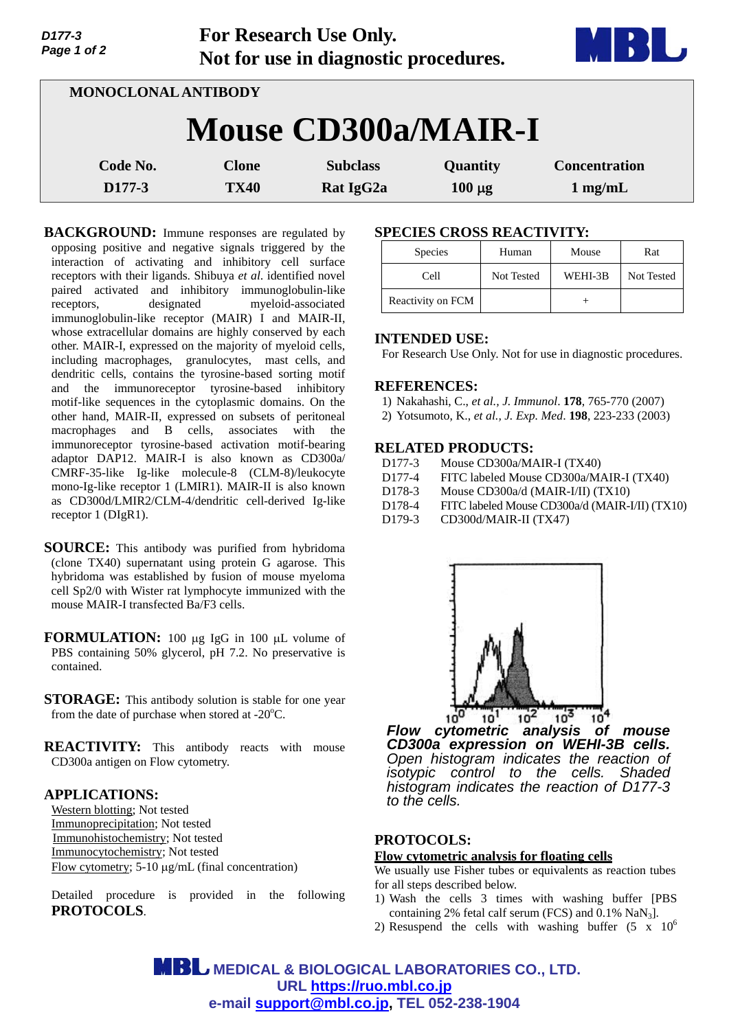| Page 1 of 2                | Not for use in diagnostic procedures. |                              |                         |                                   |  |
|----------------------------|---------------------------------------|------------------------------|-------------------------|-----------------------------------|--|
| <b>MONOCLONAL ANTIBODY</b> |                                       |                              |                         |                                   |  |
|                            | <b>Mouse CD300a/MAIR-I</b>            |                              |                         |                                   |  |
| Code No.<br>D177-3         | <b>Clone</b><br><b>TX40</b>           | <b>Subclass</b><br>Rat IgG2a | Quantity<br>$100 \mu g$ | <b>Concentration</b><br>$1$ mg/mL |  |

**For Research Use Only.**

**BACKGROUND:** Immune responses are regulated by opposing positive and negative signals triggered by the interaction of activating and inhibitory cell surface receptors with their ligands. Shibuya *et al*. identified novel paired activated and inhibitory immunoglobulin-like receptors, designated myeloid-associated immunoglobulin-like receptor (MAIR) I and MAIR-II, whose extracellular domains are highly conserved by each other. MAIR-I, expressed on the majority of myeloid cells, including macrophages, granulocytes, mast cells, and dendritic cells, contains the tyrosine-based sorting motif and the immunoreceptor tyrosine-based inhibitory motif-like sequences in the cytoplasmic domains. On the other hand, MAIR-II, expressed on subsets of peritoneal macrophages and B cells, associates with the immunoreceptor tyrosine-based activation motif-bearing adaptor DAP12. MAIR-I is also known as CD300a/ CMRF-35-like Ig-like molecule-8 (CLM-8)/leukocyte mono-Ig-like receptor 1 (LMIR1). MAIR-II is also known as CD300d/LMIR2/CLM-4/dendritic cell-derived Ig-like receptor 1 (DIgR1).

- **SOURCE:** This antibody was purified from hybridoma (clone TX40) supernatant using protein G agarose. This hybridoma was established by fusion of mouse myeloma cell Sp2/0 with Wister rat lymphocyte immunized with the mouse MAIR-I transfected Ba/F3 cells.
- **FORMULATION:** 100 µg IgG in 100 µL volume of PBS containing 50% glycerol, pH 7.2. No preservative is contained.
- **STORAGE:** This antibody solution is stable for one year from the date of purchase when stored at  $-20^{\circ}$ C.
- **REACTIVITY:** This antibody reacts with mouse CD300a antigen on Flow cytometry.

### **APPLICATIONS:**

*D177-3* 

Western blotting; Not tested Immunoprecipitation; Not tested Immunohistochemistry; Not tested Immunocytochemistry; Not tested Flow cytometry;  $5-10 \mu g/mL$  (final concentration)

Detailed procedure is provided in the following **PROTOCOLS**.

## **SPECIES CROSS REACTIVITY:**

| <b>Species</b>    | Human      | Mouse   | Rat        |
|-------------------|------------|---------|------------|
| Cell              | Not Tested | WEHI-3B | Not Tested |
| Reactivity on FCM |            |         |            |

## **INTENDED USE:**

For Research Use Only. Not for use in diagnostic procedures.

### **REFERENCES:**

- 1) Nakahashi, C., *et al., J. Immunol*. **178**, 765-770 (2007)
- 2) Yotsumoto, K., *et al., J. Exp. Med*. **198**, 223-233 (2003)

## **RELATED PRODUCTS:**

- D177-3 Mouse CD300a/MAIR-I (TX40)
- D177-4 FITC labeled Mouse CD300a/MAIR-I (TX40)
- D178-3 Mouse CD300a/d (MAIR-I/II) (TX10)
- D178-4 FITC labeled Mouse CD300a/d (MAIR-I/II) (TX10)
- D179-3 CD300d/MAIR-II (TX47)



*Flow cytometric analysis of mouse CD300a expression on WEHI-3B cells. Open histogram indicates the reaction of isotypic control to the cells. Shaded histogram indicates the reaction of D177-3 to the cells.*

# **PROTOCOLS:**

### **Flow cytometric analysis for floating cells**

We usually use Fisher tubes or equivalents as reaction tubes for all steps described below.

- 1) Wash the cells 3 times with washing buffer [PBS containing 2% fetal calf serum (FCS) and  $0.1\%$  NaN<sub>3</sub>].
- 2) Resuspend the cells with washing buffer  $(5 \times 10^6$

**MBL** MEDICAL & BIOLOGICAL LABORATORIES CO., LTD. **URL https://ruo.mbl.co.jp e-mail support@mbl.co.jp, TEL 052-238-1904**